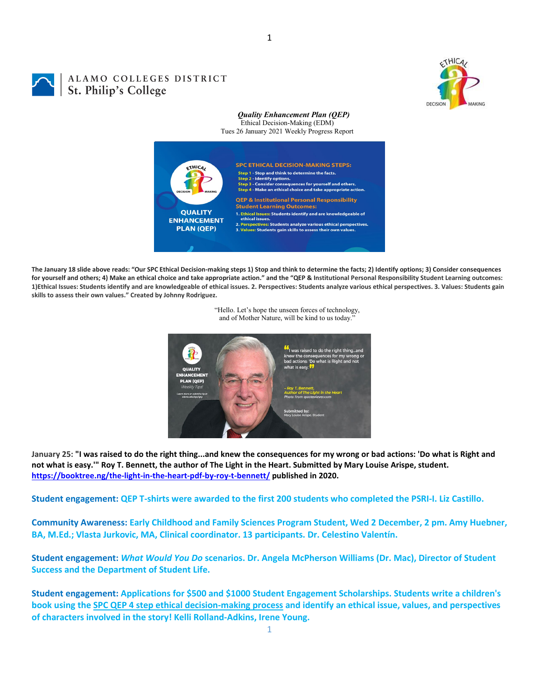

## ALAMO COLLEGES DISTRICT St. Philip's College

## *Quality Enhancement Plan (QEP)* Ethical Decision-Making (EDM)

Tues 26 January 2021 Weekly Progress Report



**The January 18 slide above reads: "Our SPC Ethical Decision-making steps 1) Stop and think to determine the facts; 2) Identify options; 3) Consider consequences for yourself and others; 4) Make an ethical choice and take appropriate action." and the "QEP & Institutional Personal Responsibility Student Learning outcomes: 1)Ethical Issues: Students identify and are knowledgeable of ethical issues. 2. Perspectives: Students analyze various ethical perspectives. 3. Values: Students gain skills to assess their own values." Created by Johnny Rodriguez.**



"Hello. Let's hope the unseen forces of technology, and of Mother Nature, will be kind to us today."

**January 25: "I was raised to do the right thing...and knew the consequences for my wrong or bad actions: 'Do what is Right and not what is easy.'" Roy T. Bennett, the author of The Light in the Heart. Submitted by Mary Louise Arispe, student. <https://booktree.ng/the-light-in-the-heart-pdf-by-roy-t-bennett/> published in 2020.**

**Student engagement: QEP T-shirts were awarded to the first 200 students who completed the PSRI-I. Liz Castillo.**

**Community Awareness: Early Childhood and Family Sciences Program Student, Wed 2 December, 2 pm. Amy Huebner, BA, M.Ed.; Vlasta Jurkovic, MA, Clinical coordinator. 13 participants. Dr. Celestino Valentín.**

**Student engagement:** *What Would You Do* **scenarios. Dr. Angela McPherson Williams (Dr. Mac), Director of Student Success and the Department of Student Life.**

**Student engagement: Applications for \$500 and \$1000 Student Engagement Scholarships. Students write a children's book using the [SPC QEP 4 step ethical decision-making process](https://mail.alamo.edu/owa/redir.aspx?REF=QPGGgOE-3HbbrbCAzqBFQWbtY3e2Gc0f0qSFld99-4hqZWSPr8DYCAFodHRwczovL3d3dy5hbGFtby5lZHUvbGluay8zYjg5NjQxMTY3MGY0YTZlYjU2MzNkNGFmNjE1OTBjNC5hc3B4) and identify an ethical issue, values, and perspectives of characters involved in the story! Kelli Rolland-Adkins, Irene Young.**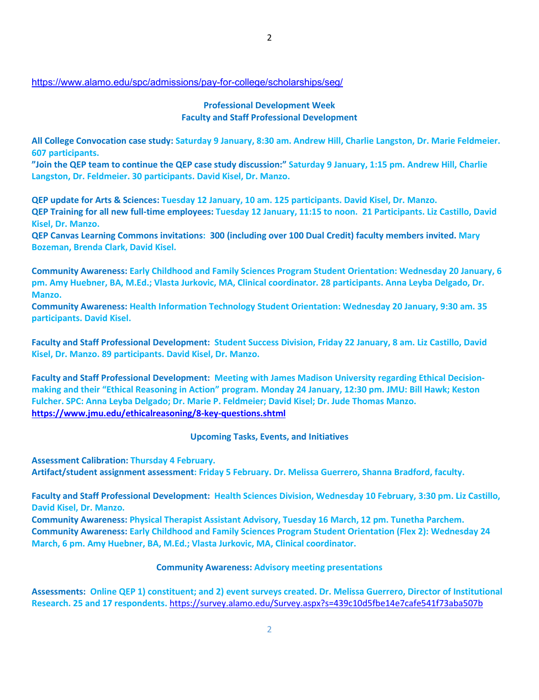## <https://www.alamo.edu/spc/admissions/pay-for-college/scholarships/seg/>

## **Professional Development Week Faculty and Staff Professional Development**

**All College Convocation case study: Saturday 9 January, 8:30 am. Andrew Hill, Charlie Langston, Dr. Marie Feldmeier. 607 participants.**

**"Join the QEP team to continue the QEP case study discussion:" Saturday 9 January, 1:15 pm. Andrew Hill, Charlie Langston, Dr. Feldmeier. 30 participants. David Kisel, Dr. Manzo.**

**QEP update for Arts & Sciences: Tuesday 12 January, 10 am. 125 participants. David Kisel, Dr. Manzo. QEP Training for all new full-time employees: Tuesday 12 January, 11:15 to noon. 21 Participants. Liz Castillo, David Kisel, Dr. Manzo.**

**QEP Canvas Learning Commons invitations: 300 (including over 100 Dual Credit) faculty members invited. Mary Bozeman, Brenda Clark, David Kisel.**

**Community Awareness: Early Childhood and Family Sciences Program Student Orientation: Wednesday 20 January, 6 pm. Amy Huebner, BA, M.Ed.; Vlasta Jurkovic, MA, Clinical coordinator. 28 participants. Anna Leyba Delgado, Dr. Manzo.**

**Community Awareness: Health Information Technology Student Orientation: Wednesday 20 January, 9:30 am. 35 participants. David Kisel.**

**Faculty and Staff Professional Development: Student Success Division, Friday 22 January, 8 am. Liz Castillo, David Kisel, Dr. Manzo. 89 participants. David Kisel, Dr. Manzo.**

**Faculty and Staff Professional Development: Meeting with James Madison University regarding Ethical Decisionmaking and their "Ethical Reasoning in Action" program. Monday 24 January, 12:30 pm. JMU: Bill Hawk; Keston Fulcher. SPC: Anna Leyba Delgado; Dr. Marie P. Feldmeier; David Kisel; Dr. Jude Thomas Manzo. <https://www.jmu.edu/ethicalreasoning/8-key-questions.shtml>**

**Upcoming Tasks, Events, and Initiatives**

**Assessment Calibration: Thursday 4 February.**

**Artifact/student assignment assessment: Friday 5 February. Dr. Melissa Guerrero, Shanna Bradford, faculty.**

**Faculty and Staff Professional Development: Health Sciences Division, Wednesday 10 February, 3:30 pm. Liz Castillo, David Kisel, Dr. Manzo.** 

**Community Awareness: Physical Therapist Assistant Advisory, Tuesday 16 March, 12 pm. Tunetha Parchem. Community Awareness: Early Childhood and Family Sciences Program Student Orientation (Flex 2): Wednesday 24 March, 6 pm. Amy Huebner, BA, M.Ed.; Vlasta Jurkovic, MA, Clinical coordinator.** 

**Community Awareness: Advisory meeting presentations**

**Assessments: Online QEP 1) constituent; and 2) event surveys created. Dr. Melissa Guerrero, Director of Institutional Research. 25 and 17 respondents.** <https://survey.alamo.edu/Survey.aspx?s=439c10d5fbe14e7cafe541f73aba507b>